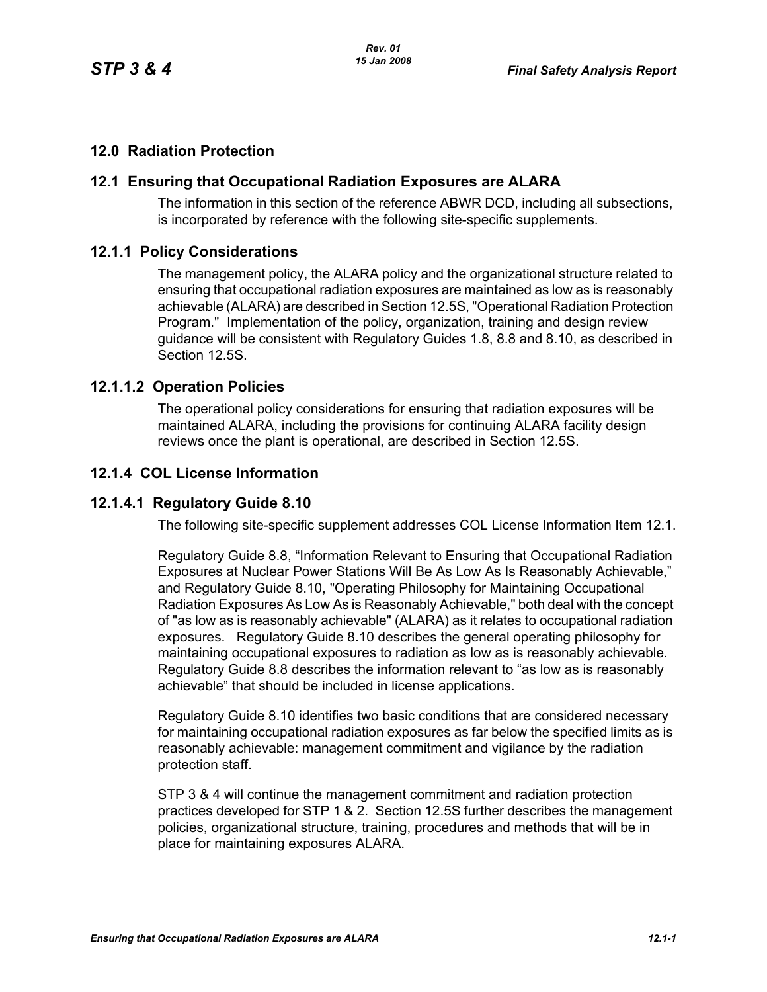## **12.0 Radiation Protection**

### **12.1 Ensuring that Occupational Radiation Exposures are ALARA**

The information in this section of the reference ABWR DCD, including all subsections, is incorporated by reference with the following site-specific supplements.

#### **12.1.1 Policy Considerations**

The management policy, the ALARA policy and the organizational structure related to ensuring that occupational radiation exposures are maintained as low as is reasonably achievable (ALARA) are described in Section 12.5S, "Operational Radiation Protection Program." Implementation of the policy, organization, training and design review guidance will be consistent with Regulatory Guides 1.8, 8.8 and 8.10, as described in Section 12.5S.

#### **12.1.1.2 Operation Policies**

The operational policy considerations for ensuring that radiation exposures will be maintained ALARA, including the provisions for continuing ALARA facility design reviews once the plant is operational, are described in Section 12.5S.

### **12.1.4 COL License Information**

### **12.1.4.1 Regulatory Guide 8.10**

The following site-specific supplement addresses COL License Information Item 12.1.

Regulatory Guide 8.8, "Information Relevant to Ensuring that Occupational Radiation Exposures at Nuclear Power Stations Will Be As Low As Is Reasonably Achievable," and Regulatory Guide 8.10, "Operating Philosophy for Maintaining Occupational Radiation Exposures As Low As is Reasonably Achievable," both deal with the concept of "as low as is reasonably achievable" (ALARA) as it relates to occupational radiation exposures. Regulatory Guide 8.10 describes the general operating philosophy for maintaining occupational exposures to radiation as low as is reasonably achievable. Regulatory Guide 8.8 describes the information relevant to "as low as is reasonably achievable" that should be included in license applications.

Regulatory Guide 8.10 identifies two basic conditions that are considered necessary for maintaining occupational radiation exposures as far below the specified limits as is reasonably achievable: management commitment and vigilance by the radiation protection staff.

STP 3 & 4 will continue the management commitment and radiation protection practices developed for STP 1 & 2. Section 12.5S further describes the management policies, organizational structure, training, procedures and methods that will be in place for maintaining exposures ALARA.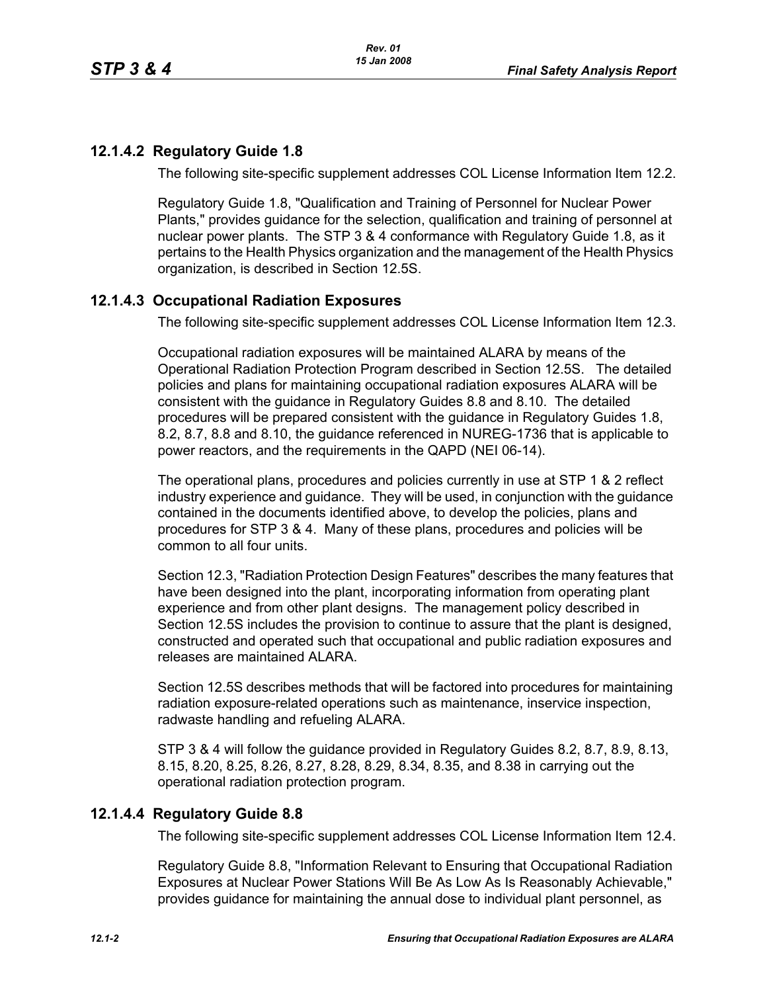# **12.1.4.2 Regulatory Guide 1.8**

The following site-specific supplement addresses COL License Information Item 12.2.

Regulatory Guide 1.8, "Qualification and Training of Personnel for Nuclear Power Plants," provides guidance for the selection, qualification and training of personnel at nuclear power plants. The STP 3 & 4 conformance with Regulatory Guide 1.8, as it pertains to the Health Physics organization and the management of the Health Physics organization, is described in Section 12.5S.

# **12.1.4.3 Occupational Radiation Exposures**

The following site-specific supplement addresses COL License Information Item 12.3.

Occupational radiation exposures will be maintained ALARA by means of the Operational Radiation Protection Program described in Section 12.5S. The detailed policies and plans for maintaining occupational radiation exposures ALARA will be consistent with the guidance in Regulatory Guides 8.8 and 8.10. The detailed procedures will be prepared consistent with the guidance in Regulatory Guides 1.8, 8.2, 8.7, 8.8 and 8.10, the guidance referenced in NUREG-1736 that is applicable to power reactors, and the requirements in the QAPD (NEI 06-14).

The operational plans, procedures and policies currently in use at STP 1 & 2 reflect industry experience and guidance. They will be used, in conjunction with the guidance contained in the documents identified above, to develop the policies, plans and procedures for STP 3 & 4. Many of these plans, procedures and policies will be common to all four units.

Section 12.3, "Radiation Protection Design Features" describes the many features that have been designed into the plant, incorporating information from operating plant experience and from other plant designs. The management policy described in Section 12.5S includes the provision to continue to assure that the plant is designed, constructed and operated such that occupational and public radiation exposures and releases are maintained ALARA

Section 12.5S describes methods that will be factored into procedures for maintaining radiation exposure-related operations such as maintenance, inservice inspection, radwaste handling and refueling ALARA.

STP 3 & 4 will follow the guidance provided in Regulatory Guides 8.2, 8.7, 8.9, 8.13, 8.15, 8.20, 8.25, 8.26, 8.27, 8.28, 8.29, 8.34, 8.35, and 8.38 in carrying out the operational radiation protection program.

## **12.1.4.4 Regulatory Guide 8.8**

The following site-specific supplement addresses COL License Information Item 12.4.

Regulatory Guide 8.8, "Information Relevant to Ensuring that Occupational Radiation Exposures at Nuclear Power Stations Will Be As Low As Is Reasonably Achievable," provides guidance for maintaining the annual dose to individual plant personnel, as